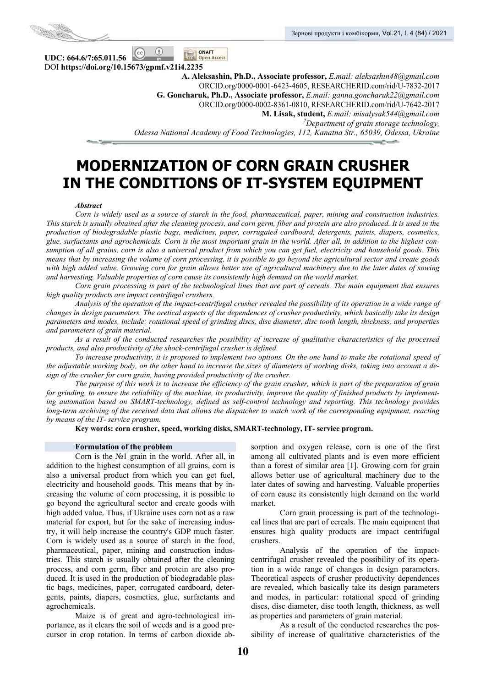

**UDC: 664.6/7:65.011.56 Open Access** DOI **https://doi.org/10.15673/gpmf.v21i4.2235** 

**A. Aleksashin, Ph.D., Associate professor,** *E.mail: aleksashin48@gmail.com*  ORCID.org/0000-0001-6423-4605, RESEARCHERID.com/rid/U-7832-2017 **G. Goncharuk, Ph.D., Associate professor,** *E.mail: ganna.goncharuk22@gmail.com*  ORCID.org/0000-0002-8361-0810, RESEARCHERID.com/rid/U-7642-2017 **M. Lisak, student,** *E.mail: misalysak544@gmail.com 2 Department of grain storage technology, Odessa National Academy of Food Technologies, 112, Kanatna Str., 65039, Odessa, Ukraine* 

# **MODERNIZATION OF CORN GRAIN CRUSHER IN THE CONDITIONS OF IT-SYSTEM EQUIPMENT**

#### *Abstract*

*Corn is widely used as a source of starch in the food, pharmaceutical, paper, mining and construction industries. This starch is usually obtained after the cleaning process, and corn germ, fiber and protein are also produced. It is used in the production of biodegradable plastic bags, medicines, paper, corrugated cardboard, detergents, paints, diapers, cosmetics, glue, surfactants and agrochemicals. Corn is the most important grain in the world. After all, in addition to the highest consumption of all grains, corn is also a universal product from which you can get fuel, electricity and household goods. This means that by increasing the volume of corn processing, it is possible to go beyond the agricultural sector and create goods with high added value. Growing corn for grain allows better use of agricultural machinery due to the later dates of sowing and harvesting. Valuable properties of corn cause its consistently high demand on the world market.* 

*Corn grain processing is part of the technological lines that are part of cereals. The main equipment that ensures high quality products are impact centrifugal crushers.* 

*Analysis of the operation of the impact-centrifugal crusher revealed the possibility of its operation in a wide range of changes in design parameters. The oretical aspects of the dependences of crusher productivity, which basically take its design parameters and modes, include: rotational speed of grinding discs, disc diameter, disc tooth length, thickness, and properties and parameters of grain material.* 

*As a result of the conducted researches the possibility of increase of qualitative characteristics of the processed products, and also productivity of the shock-centrifugal crusher is defined.* 

*To increase productivity, it is proposed to implement two options. On the one hand to make the rotational speed of the adjustable working body, on the other hand to increase the sizes of diameters of working disks, taking into account a design of the crusher for corn grain, having provided productivity of the crusher.* 

*The purpose of this work is to increase the efficiency of the grain crusher, which is part of the preparation of grain for grinding, to ensure the reliability of the machine, its productivity, improve the quality of finished products by implementing automation based on SMART-technology, defined as self-control technology and reporting. This technology provides long-term archiving of the received data that allows the dispatcher to watch work of the corresponding equipment, reacting by means of the IT- service program.* 

**Key words: corn crusher, speed, working disks, SMART-technology, IT- service program.** 

#### **Formulation of the problem**

Corn is the №1 grain in the world. After all, in addition to the highest consumption of all grains, corn is also a universal product from which you can get fuel, electricity and household goods. This means that by increasing the volume of corn processing, it is possible to go beyond the agricultural sector and create goods with high added value. Thus, if Ukraine uses corn not as a raw material for export, but for the sake of increasing industry, it will help increase the country's GDP much faster. Corn is widely used as a source of starch in the food, pharmaceutical, paper, mining and construction industries. This starch is usually obtained after the cleaning process, and corn germ, fiber and protein are also produced. It is used in the production of biodegradable plastic bags, medicines, paper, corrugated cardboard, detergents, paints, diapers, cosmetics, glue, surfactants and agrochemicals.

Maize is of great and agro-technological importance, as it clears the soil of weeds and is a good precursor in crop rotation. In terms of carbon dioxide absorption and oxygen release, corn is one of the first among all cultivated plants and is even more efficient than a forest of similar area [1]. Growing corn for grain allows better use of agricultural machinery due to the later dates of sowing and harvesting. Valuable properties of corn cause its consistently high demand on the world market.

Corn grain processing is part of the technological lines that are part of cereals. The main equipment that ensures high quality products are impact centrifugal crushers.

Analysis of the operation of the impactcentrifugal crusher revealed the possibility of its operation in a wide range of changes in design parameters. Theoretical aspects of crusher productivity dependences are revealed, which basically take its design parameters and modes, in particular: rotational speed of grinding discs, disc diameter, disc tooth length, thickness, as well as properties and parameters of grain material.

As a result of the conducted researches the possibility of increase of qualitative characteristics of the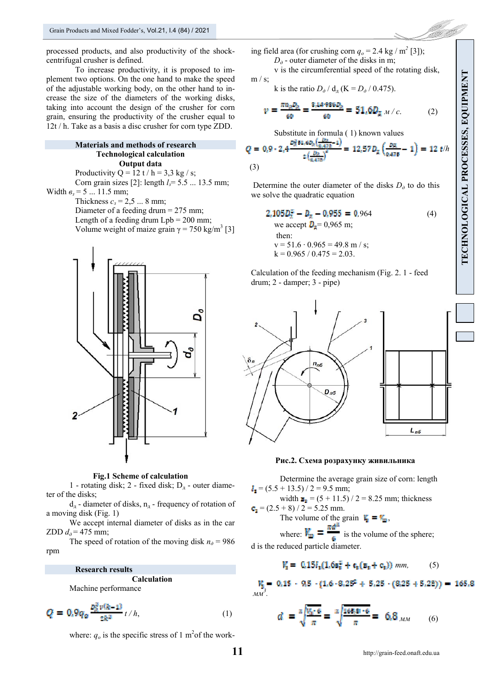processed products, and also productivity of the shockcentrifugal crusher is defined.

To increase productivity, it is proposed to implement two options. On the one hand to make the speed of the adjustable working body, on the other hand to increase the size of the diameters of the working disks, taking into account the design of the crusher for corn grain, ensuring the productivity of the crusher equal to 12t / h. Take as a basis a disc crusher for corn type ZDD.

#### **Materials and methods of research Technological calculation Output data**

Productivity Q = 12 t / h = 3,3 kg / s; Corn grain sizes [2]: length *lз*= 5.5 ... 13.5 mm; Width *вз* = 5 ... 11.5 mm; Thickness  $c_3 = 2.5$  ... 8 mm; Diameter of a feeding drum = 275 mm; Length of a feeding drum  $Lpb = 200$  mm; Volume weight of maize grain  $\gamma = 750 \text{ kg/m}^3$  [3]



**Fig.1 Scheme of calculation** 

1 - rotating disk; 2 - fixed disk;  $D_{\pi}$  - outer diameter of the disks;

 $d_n$  - diameter of disks,  $n_n$  - frequency of rotation of a moving disk (Fig. 1)

We accept internal diameter of disks as in the car ZDD  $d_{\theta}$  = 475 mm;

The speed of rotation of the moving disk  $n_{\phi} = 986$ rpm

#### **Research results**

**Calculation**  Machine performance

$$
Q = 0.9q_0 \frac{p_0^2 v(k-1)}{z k^2} t/h,
$$
\n(1)

where:  $q_o$  is the specific stress of 1 m<sup>2</sup> of the work-

TECHNOLOGICAL PROCESSES, EQUIPMENT **TECHNOLOGICAL PROCESSES, EQUIPMENT**

ing field area (for crushing corn  $q_o = 2.4$  kg / m<sup>2</sup> [3]);

 $D_{\theta}$  - outer diameter of the disks in m;

v is the circumferential speed of the rotating disk,  $m / s$ ;

k is the ratio 
$$
D_{\partial} / d_{\mu} (K = D_{\partial} / 0.475)
$$
.

$$
\nu = \frac{\pi n_a P_h}{60} = \frac{8.14 \cdot 986 P_h}{60} = 51.6 D_{\rm g} \, \text{m/s} \tag{2}
$$

Substitute in formula ( 1) known values

$$
Q = 0.9 \cdot 2.4 \frac{\frac{D_R}{2} \ln \left( \frac{D_R}{6.42B} - 1 \right)}{2 \left( \frac{D_R}{6.42B} \right)^2} = 12.57 D_R \left( \frac{D_R}{6.42B} - 1 \right) = 12 \ t/h
$$
\n(3)

Determine the outer diameter of the disks  $D_{\theta}$  to do this we solve the quadratic equation

$$
2.105D_3^2 - D_{\pi} - 0.955 = 0.964
$$
\nwe accept  $D_{\pi} = 0.965$  m;  
\nthen:  
\n
$$
v = 51.6 \cdot 0.965 = 49.8
$$
 m/s;  
\n
$$
k = 0.965 / 0.475 = 2.03
$$
. (4)

Calculation of the feeding mechanism (Fig. 2. 1 - feed drum; 2 - damper; 3 - pipe)



#### **Рис.2. Схема розрахунку живильника**

Determine the average grain size of corn: length  $I_{\rm g}$  = (5.5 + 13.5) / 2 = 9.5 mm;

width  $\mathbf{B}_{\mathbf{g}} = (5 + 11.5) / 2 = 8.25$  mm; thickness  $= (2.5 + 8) / 2 = 5.25$  mm.

The volume of the grain  $\mathbf{F}_{\mathbf{a}} = \mathbf{F}_{\mathbf{m}}$ ,

where:  $V_{\text{in}} = \frac{\pi d^3}{6}$  is the volume of the sphere; d is the reduced particle diameter.

$$
V_{\mathbf{z}} = \mathbf{0.15} l_{\mathbf{z}} (1.6 \mathbf{s}_{\mathbf{z}}^2 + \mathbf{c}_{\mathbf{z}} (\mathbf{s}_{\mathbf{z}} + \mathbf{c}_{\mathbf{z}})) \, \text{mm}, \tag{5}
$$

 $0.15 - 9.5 - (1.6 - 8.25^2 + 5.25 - (8.25 + 5.25)) = 165.8$ *. мм<sup>3</sup>*

$$
d = \sqrt[3]{\frac{V_0 \cdot 6}{\pi}} = \sqrt[3]{\frac{168.8 \cdot 6}{\pi}} = 6.8_{\text{MM}} \tag{6}
$$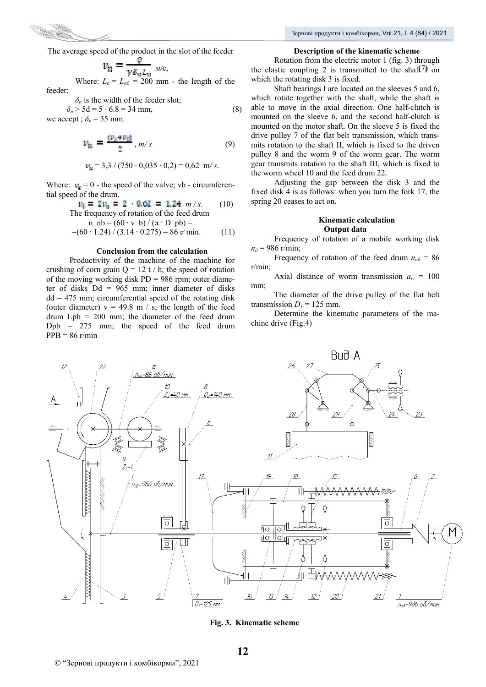

The average speed of the product in the slot of the feeder

$$
v_n = \frac{v}{\gamma \delta_n L_n} \sqrt{2\pi}
$$

Where:  $L_n = L_{n6} = 200$  mm - the length of the feeder;

$$
\delta_n
$$
 is the width of the feeder slot;

 $\delta_n$  > 5d = 5 ⋅ 6.8 = 34 mm, (8) we accept ;  $\delta_n = 35$  mm.

$$
v_{\rm B} = \frac{(v_{\rm B} + v_{\rm C})}{2}, m/s \tag{9}
$$

$$
v_n = 3.3 / (750 \cdot 0.035 \cdot 0.2) = 0.62 \text{ m/s}.
$$

Where:  $v_{\text{g}} = 0$  - the speed of the valve; vb - circumferential speed of the drum.

$$
v_{\tilde{a}} = 2v_{\tilde{a}} = 2 \cdot 0.62 = 1.24 \text{ m/s.}
$$
 (10)

n in the frequency of rotation of the feed during  
\nn\_nb = 
$$
(60 \cdot v_b) / (\pi \cdot D_pb) =
$$
  
\n=  $(60 \cdot 1.24) / (3.14 \cdot 0.275) = 86 \text{ r/min.}$  (11)

#### **Conclusion from the calculation**

Productivity of the machine of the machine for crushing of corn grain  $Q = 12 t / h$ ; the speed of rotation of the moving working disk  $PD = 986$  rpm; outer diameter of disks Dd = 965 mm; inner diameter of disks  $dd = 475$  mm; circumferential speed of the rotating disk (outer diameter)  $v = 49.8$  m / s; the length of the feed drum Lpb = 200 mm; the diameter of the feed drum  $Dpb = 275$  mm; the speed of the feed drum  $PPB = 86$  r/min

#### **Description of the kinematic scheme**

 $w_n = \frac{w_{n-1}}{w_{n-1}}$   $M/c$ , the elastic coupling 2 is transmitted to the shaft I on Rotation from the electric motor 1 (fig. 3) through which the rotating disk 3 is fixed.

> Shaft bearings I are located on the sleeves 5 and 6, which rotate together with the shaft, while the shaft is able to move in the axial direction. One half-clutch is mounted on the sleeve 6, and the second half-clutch is mounted on the motor shaft. On the sleeve 5 is fixed the drive pulley 7 of the flat belt transmission, which transmits rotation to the shaft II, which is fixed to the driven pulley 8 and the worm 9 of the worm gear. The worm gear transmits rotation to the shaft III, which is fixed to the worm wheel 10 and the feed drum 22.

> Adjusting the gap between the disk 3 and the fixed disk 4 is as follows: when you turn the fork 17, the spring 20 ceases to act on.

#### **Kinematic calculation Output data**

Frequency of rotation of a mobile working disk *пд* = 986 r/min;

Frequency of rotation of the feed drum  $n_{n6} = 86$ r/min;

Axial distance of worm transmission  $a_w = 100$ mm;

The diameter of the drive pulley of the flat belt transmission  $D_1$  = 125 mm.

Determine the kinematic parameters of the machine drive (Fig.4)



**Fig. 3. Kinematic scheme**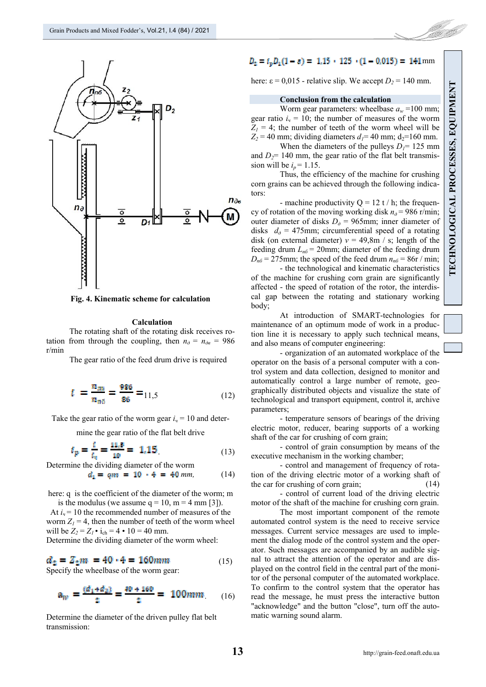

**Fig. 4. Kinematic scheme for calculation** 

#### **Calculation**

The rotating shaft of the rotating disk receives rotation from through the coupling, then  $n_{\rho} = n_{\rho g} = 986$ r/min

The gear ratio of the feed drum drive is required

$$
i = \frac{n_{\text{mp}}}{n_{\text{n6}}} = \frac{986}{86} = 11,5 \tag{12}
$$

Take the gear ratio of the worm gear  $i<sub>u</sub> = 10$  and deter-

mine the gear ratio of the flat belt drive

$$
t_p = \frac{t}{t_q} = \frac{11_t b}{10} = 1.15
$$
 (13)

Determine the dividing diameter of the worm

$$
d_1 = qm = 10 \cdot 4 = 40 \, \text{mm}, \tag{14}
$$

here: q is the coefficient of the diameter of the worm; m is the modulus (we assume  $q = 10$ ,  $m = 4$  mm [3]).

At  $i_y = 10$  the recommended number of measures of the worm  $Z_1 = 4$ , then the number of teeth of the worm wheel will be  $Z_2 = Z_1 \cdot i_{ch} = 4 \cdot 10 = 40$  mm.

Determine the dividing diameter of the worm wheel:

$$
d_2 = Z_2 m = 40 \cdot 4 = 160 mm \tag{15}
$$

Specify the wheelbase of the worm gear:

$$
a_w = \frac{(d_1 + d_2)}{2} = \frac{40 + 160}{2} = 100mm \tag{16}
$$

Determine the diameter of the driven pulley flat belt transmission:

## $D_z = t_p D_1 (1 - \alpha) = 1.15 \cdot 125 \cdot (1 - 0.015) = 141 \text{ mm}$

here:  $\epsilon = 0.015$  - relative slip. We accept  $D_2 = 140$  mm.

#### **Conclusion from the calculation**

Worm gear parameters: wheelbase  $a_w = 100$  mm; gear ratio  $i_y = 10$ ; the number of measures of the worm  $Z_1 = 4$ ; the number of teeth of the worm wheel will be  $Z_2$  = 40 mm; dividing diameters  $d_1$  = 40 mm; d<sub>2</sub>=160 mm.

When the diameters of the pulleys  $D_1$ = 125 mm and  $D_2$ = 140 mm, the gear ratio of the flat belt transmission will be  $i_p = 1.15$ .

Thus, the efficiency of the machine for crushing corn grains can be achieved through the following indicators:

- machine productivity  $Q = 12 t / h$ ; the frequency of rotation of the moving working disk  $n_a$  = 986 r/min; outer diameter of disks  $D<sub>a</sub>$  = 965mm; inner diameter of disks  $d_{\theta} = 475$ mm; circumferential speed of a rotating disk (on external diameter)  $v = 49,8m / s$ ; length of the feeding drum  $L_{n6}$  = 20mm; diameter of the feeding drum  $D_{n6}$  = 275mm; the speed of the feed drum  $n_{n6}$  = 86r / min;

- the technological and kinematic characteristics of the machine for crushing corn grain are significantly affected - the speed of rotation of the rotor, the interdiscal gap between the rotating and stationary working body;

At introduction of SMART-technologies for maintenance of an optimum mode of work in a production line it is necessary to apply such technical means, and also means of computer engineering:

- organization of an automated workplace of the operator on the basis of a personal computer with a control system and data collection, designed to monitor and automatically control a large number of remote, geographically distributed objects and visualize the state of technological and transport equipment, control it, archive parameters;

- temperature sensors of bearings of the driving electric motor, reducer, bearing supports of a working shaft of the car for crushing of corn grain;

- control of grain consumption by means of the executive mechanism in the working chamber;

(14) - control and management of frequency of rotation of the driving electric motor of a working shaft of the car for crushing of corn grain;

- control of current load of the driving electric motor of the shaft of the machine for crushing corn grain.

The most important component of the remote automated control system is the need to receive service messages. Current service messages are used to implement the dialog mode of the control system and the operator. Such messages are accompanied by an audible signal to attract the attention of the operator and are displayed on the control field in the central part of the monitor of the personal computer of the automated workplace. To confirm to the control system that the operator has read the message, he must press the interactive button "acknowledge" and the button "close", turn off the automatic warning sound alarm.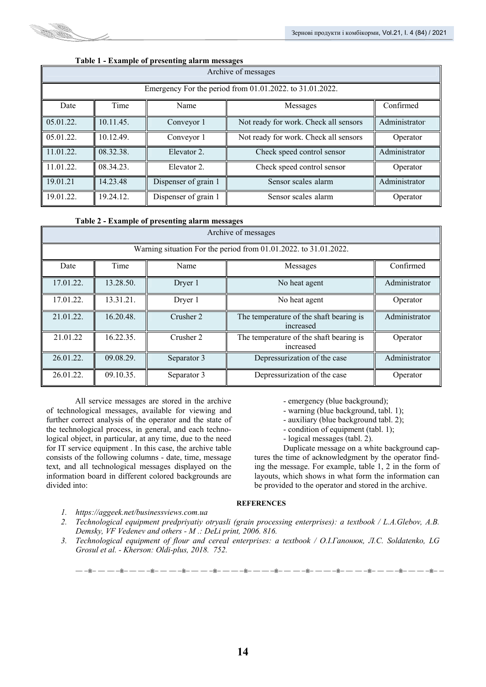

| Archive of messages                                      |           |                      |                                       |               |  |  |  |
|----------------------------------------------------------|-----------|----------------------|---------------------------------------|---------------|--|--|--|
| Emergency For the period from 01.01.2022. to 31.01.2022. |           |                      |                                       |               |  |  |  |
| Date                                                     | Time      | Name                 | Messages                              | Confirmed     |  |  |  |
| 05.01.22.                                                | 10.11.45. | Conveyor 1           | Not ready for work. Check all sensors | Administrator |  |  |  |
| 05.01.22.                                                | 10.12.49. | Conveyor 1           | Not ready for work. Check all sensors | Operator      |  |  |  |
| 11.01.22.                                                | 08.32.38. | Elevator 2.          | Check speed control sensor            | Administrator |  |  |  |
| 11.01.22.                                                | 08.34.23. | Elevator 2.          | Check speed control sensor            | Operator      |  |  |  |
| 19.01.21                                                 | 14.23.48  | Dispenser of grain 1 | Sensor scales alarm                   | Administrator |  |  |  |
| 19.01.22.                                                | 19.24.12. | Dispenser of grain 1 | Sensor scales alarm                   | Operator      |  |  |  |

## **Table 1 - Example of presenting alarm messages**

#### **Table 2 - Example of presenting alarm messages**

| Archive of messages                                              |           |             |                                                      |               |  |  |  |
|------------------------------------------------------------------|-----------|-------------|------------------------------------------------------|---------------|--|--|--|
| Warning situation For the period from 01.01.2022. to 31.01.2022. |           |             |                                                      |               |  |  |  |
| Date                                                             | Time      | Name        | Messages                                             | Confirmed     |  |  |  |
| 17.01.22.                                                        | 13.28.50. | Dryer 1     | No heat agent                                        | Administrator |  |  |  |
| 17.01.22.                                                        | 13.31.21. | Dryer 1     | No heat agent                                        | Operator      |  |  |  |
| 21.01.22.                                                        | 16.20.48. | Crusher 2   | The temperature of the shaft bearing is<br>increased | Administrator |  |  |  |
| 21.01.22                                                         | 16.22.35. | Crusher 2   | The temperature of the shaft bearing is<br>increased | Operator      |  |  |  |
| 26.01.22.                                                        | 09.08.29. | Separator 3 | Depressurization of the case                         | Administrator |  |  |  |
| 26.01.22.                                                        | 09.10.35. | Separator 3 | Depressurization of the case                         | Operator      |  |  |  |

All service messages are stored in the archive of technological messages, available for viewing and further correct analysis of the operator and the state of the technological process, in general, and each technological object, in particular, at any time, due to the need for IT service equipment . In this case, the archive table consists of the following columns - date, time, message text, and all technological messages displayed on the information board in different colored backgrounds are divided into:

- emergency (blue background);

- warning (blue background, tabl. 1);
- auxiliary (blue background tabl. 2);
- condition of equipment (tabl. 1);
- logical messages (tabl. 2).

Duplicate message on a white background captures the time of acknowledgment by the operator finding the message. For example, table 1, 2 in the form of layouts, which shows in what form the information can be provided to the operator and stored in the archive.

#### **REFERENCES**

- *1. https://aggeek.net/businessviews.com.ua*
- *2. Technological equipment predpriyatiy otryasli (grain processing enterprises): a textbook / L.А.Glebov, А.B. Demsky, VF Vedenev and others - M .: DeLi print, 2006. 816.*
- *3. Technological equipment of flour and cereal enterprises: a textbook / O.I.Гапонюк, Л.С. Soldatenko, LG Grosul et al. - Kherson: Oldi-plus, 2018. 752.*